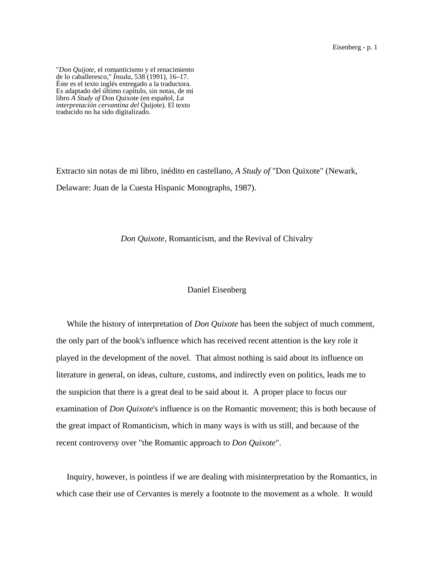Eisenberg - p. 1

"*Don Quijote*, el romanticismo y el renacimiento Éste es el texto inglés entregado a la traductora. Es adaptado del último capítulo, sin notas, de mi libro *A Study of* Don Quixote (en español, *La interpretación cervantina del* Quijote). El texto traducido no ha sido digitalizado.

Extracto sin notas de mi libro, inédito en castellano, *A Study of* "Don Quixote" (Newark, Delaware: Juan de la Cuesta Hispanic Monographs, 1987).

*Don Quixote*, Romanticism, and the Revival of Chivalry

## Daniel Eisenberg

 While the history of interpretation of *Don Quixote* has been the subject of much comment, the only part of the book's influence which has received recent attention is the key role it played in the development of the novel. That almost nothing is said about its influence on literature in general, on ideas, culture, customs, and indirectly even on politics, leads me to the suspicion that there is a great deal to be said about it. A proper place to focus our examination of *Don Quixote*'s influence is on the Romantic movement; this is both because of the great impact of Romanticism, which in many ways is with us still, and because of the recent controversy over "the Romantic approach to *Don Quixote*".

 Inquiry, however, is pointless if we are dealing with misinterpretation by the Romantics, in which case their use of Cervantes is merely a footnote to the movement as a whole. It would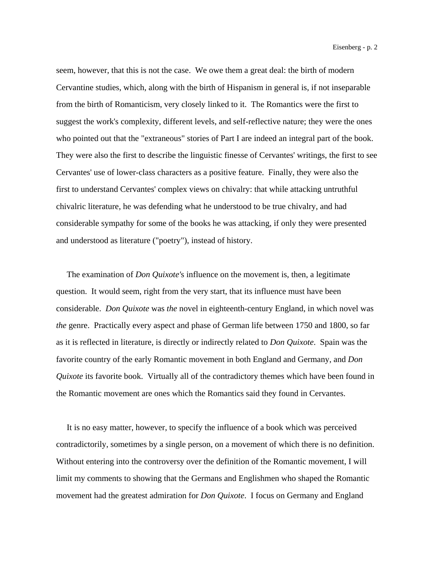seem, however, that this is not the case. We owe them a great deal: the birth of modern Cervantine studies, which, along with the birth of Hispanism in general is, if not inseparable from the birth of Romanticism, very closely linked to it. The Romantics were the first to suggest the work's complexity, different levels, and self-reflective nature; they were the ones who pointed out that the "extraneous" stories of Part I are indeed an integral part of the book. They were also the first to describe the linguistic finesse of Cervantes' writings, the first to see Cervantes' use of lower-class characters as a positive feature. Finally, they were also the first to understand Cervantes' complex views on chivalry: that while attacking untruthful chivalric literature, he was defending what he understood to be true chivalry, and had considerable sympathy for some of the books he was attacking, if only they were presented and understood as literature ("poetry"), instead of history.

 The examination of *Don Quixote'*s influence on the movement is, then, a legitimate question. It would seem, right from the very start, that its influence must have been considerable. *Don Quixote* was *the* novel in eighteenth-century England, in which novel was *the* genre. Practically every aspect and phase of German life between 1750 and 1800, so far as it is reflected in literature, is directly or indirectly related to *Don Quixote*. Spain was the favorite country of the early Romantic movement in both England and Germany, and *Don Quixote* its favorite book. Virtually all of the contradictory themes which have been found in the Romantic movement are ones which the Romantics said they found in Cervantes.

 It is no easy matter, however, to specify the influence of a book which was perceived contradictorily, sometimes by a single person, on a movement of which there is no definition. Without entering into the controversy over the definition of the Romantic movement, I will limit my comments to showing that the Germans and Englishmen who shaped the Romantic movement had the greatest admiration for *Don Quixote*. I focus on Germany and England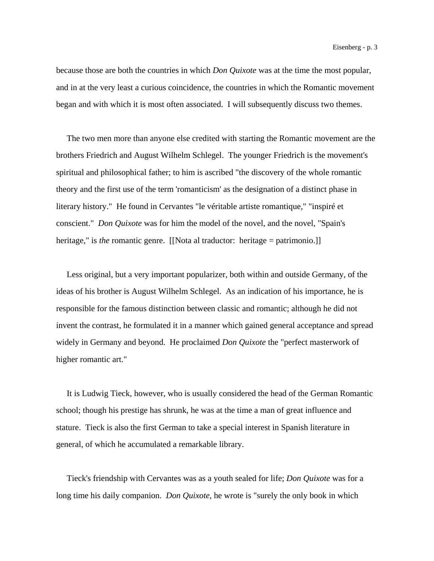because those are both the countries in which *Don Quixote* was at the time the most popular, and in at the very least a curious coincidence, the countries in which the Romantic movement began and with which it is most often associated. I will subsequently discuss two themes.

 The two men more than anyone else credited with starting the Romantic movement are the brothers Friedrich and August Wilhelm Schlegel. The younger Friedrich is the movement's spiritual and philosophical father; to him is ascribed "the discovery of the whole romantic theory and the first use of the term 'romanticism' as the designation of a distinct phase in literary history." He found in Cervantes "le véritable artiste romantique," "inspiré et conscient." *Don Quixote* was for him the model of the novel, and the novel, "Spain's heritage," is *the* romantic genre. [[Nota al traductor: heritage = patrimonio.]]

 Less original, but a very important popularizer, both within and outside Germany, of the ideas of his brother is August Wilhelm Schlegel. As an indication of his importance, he is responsible for the famous distinction between classic and romantic; although he did not invent the contrast, he formulated it in a manner which gained general acceptance and spread widely in Germany and beyond. He proclaimed *Don Quixote* the "perfect masterwork of higher romantic art."

 It is Ludwig Tieck, however, who is usually considered the head of the German Romantic school; though his prestige has shrunk, he was at the time a man of great influence and stature. Tieck is also the first German to take a special interest in Spanish literature in general, of which he accumulated a remarkable library.

 Tieck's friendship with Cervantes was as a youth sealed for life; *Don Quixote* was for a long time his daily companion. *Don Quixote*, he wrote is "surely the only book in which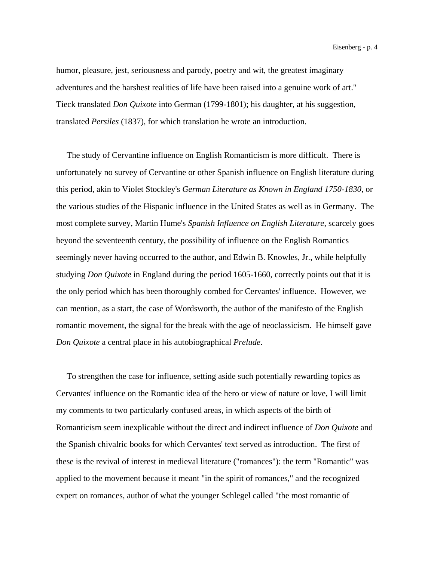humor, pleasure, jest, seriousness and parody, poetry and wit, the greatest imaginary adventures and the harshest realities of life have been raised into a genuine work of art." Tieck translated *Don Quixote* into German (1799-1801); his daughter, at his suggestion, translated *Persiles* (1837), for which translation he wrote an introduction.

 The study of Cervantine influence on English Romanticism is more difficult. There is unfortunately no survey of Cervantine or other Spanish influence on English literature during this period, akin to Violet Stockley's *German Literature as Known in England 1750-1830*, or the various studies of the Hispanic influence in the United States as well as in Germany. The most complete survey, Martin Hume's *Spanish Influence on English Literature*, scarcely goes beyond the seventeenth century, the possibility of influence on the English Romantics seemingly never having occurred to the author, and Edwin B. Knowles, Jr., while helpfully studying *Don Quixote* in England during the period 1605-1660, correctly points out that it is the only period which has been thoroughly combed for Cervantes' influence. However, we can mention, as a start, the case of Wordsworth, the author of the manifesto of the English romantic movement, the signal for the break with the age of neoclassicism. He himself gave *Don Quixote* a central place in his autobiographical *Prelude*.

 To strengthen the case for influence, setting aside such potentially rewarding topics as Cervantes' influence on the Romantic idea of the hero or view of nature or love, I will limit my comments to two particularly confused areas, in which aspects of the birth of Romanticism seem inexplicable without the direct and indirect influence of *Don Quixote* and the Spanish chivalric books for which Cervantes' text served as introduction. The first of these is the revival of interest in medieval literature ("romances"): the term "Romantic" was applied to the movement because it meant "in the spirit of romances," and the recognized expert on romances, author of what the younger Schlegel called "the most romantic of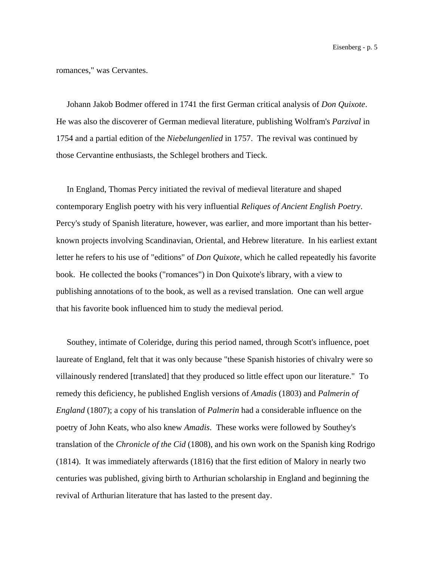romances," was Cervantes.

 Johann Jakob Bodmer offered in 1741 the first German critical analysis of *Don Quixote*. He was also the discoverer of German medieval literature, publishing Wolfram's *Parzival* in 1754 and a partial edition of the *Niebelungenlied* in 1757. The revival was continued by those Cervantine enthusiasts, the Schlegel brothers and Tieck.

 In England, Thomas Percy initiated the revival of medieval literature and shaped contemporary English poetry with his very influential *Reliques of Ancient English Poetry*. Percy's study of Spanish literature, however, was earlier, and more important than his betterknown projects involving Scandinavian, Oriental, and Hebrew literature. In his earliest extant letter he refers to his use of "editions" of *Don Quixote*, which he called repeatedly his favorite book. He collected the books ("romances") in Don Quixote's library, with a view to publishing annotations of to the book, as well as a revised translation. One can well argue that his favorite book influenced him to study the medieval period.

 Southey, intimate of Coleridge, during this period named, through Scott's influence, poet laureate of England, felt that it was only because "these Spanish histories of chivalry were so villainously rendered [translated] that they produced so little effect upon our literature." To remedy this deficiency, he published English versions of *Amadis* (1803) and *Palmerin of England* (1807); a copy of his translation of *Palmerin* had a considerable influence on the poetry of John Keats, who also knew *Amadis*. These works were followed by Southey's translation of the *Chronicle of the Cid* (1808), and his own work on the Spanish king Rodrigo (1814). It was immediately afterwards (1816) that the first edition of Malory in nearly two centuries was published, giving birth to Arthurian scholarship in England and beginning the revival of Arthurian literature that has lasted to the present day.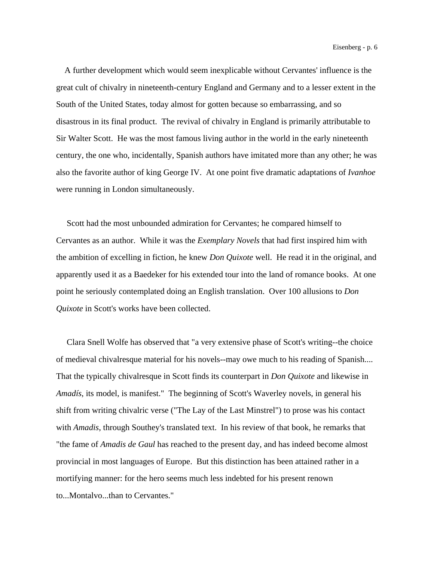A further development which would seem inexplicable without Cervantes' influence is the great cult of chivalry in nineteenth-century England and Germany and to a lesser extent in the South of the United States, today almost for gotten because so embarrassing, and so disastrous in its final product. The revival of chivalry in England is primarily attributable to Sir Walter Scott. He was the most famous living author in the world in the early nineteenth century, the one who, incidentally, Spanish authors have imitated more than any other; he was also the favorite author of king George IV. At one point five dramatic adaptations of *Ivanhoe* were running in London simultaneously.

 Scott had the most unbounded admiration for Cervantes; he compared himself to Cervantes as an author. While it was the *Exemplary Novels* that had first inspired him with the ambition of excelling in fiction, he knew *Don Quixote* well. He read it in the original, and apparently used it as a Baedeker for his extended tour into the land of romance books. At one point he seriously contemplated doing an English translation. Over 100 allusions to *Don Quixote* in Scott's works have been collected.

 Clara Snell Wolfe has observed that "a very extensive phase of Scott's writing--the choice of medieval chivalresque material for his novels--may owe much to his reading of Spanish.... That the typically chivalresque in Scott finds its counterpart in *Don Quixote* and likewise in *Amadís*, its model, is manifest." The beginning of Scott's Waverley novels, in general his shift from writing chivalric verse ("The Lay of the Last Minstrel") to prose was his contact with *Amadis*, through Southey's translated text. In his review of that book, he remarks that "the fame of *Amadis de Gaul* has reached to the present day, and has indeed become almost provincial in most languages of Europe. But this distinction has been attained rather in a mortifying manner: for the hero seems much less indebted for his present renown to...Montalvo...than to Cervantes."